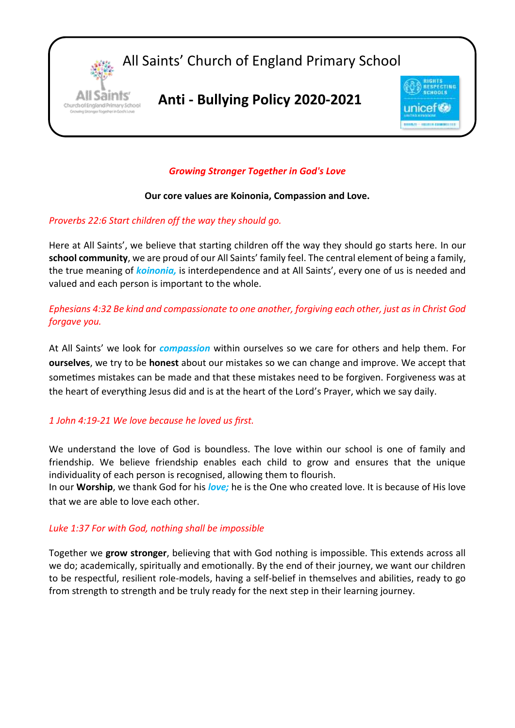

### *Growing Stronger Together in God's Love*

#### **Our core values are Koinonia, Compassion and Love.**

#### *Proverbs 22:6 Start children off the way they should go.*

Here at All Saints', we believe that starting children off the way they should go starts here. In our **school community**, we are proud of our All Saints' family feel. The central element of being a family, the true meaning of *koinonia,* is interdependence and at All Saints', every one of us is needed and valued and each person is important to the whole.

*Ephesians 4:32 Be kind and compassionate to one another, forgiving each other, just as in Christ God forgave you.*

At All Saints' we look for *compassion* within ourselves so we care for others and help them. For **ourselves**, we try to be **honest** about our mistakes so we can change and improve. We accept that sometimes mistakes can be made and that these mistakes need to be forgiven. Forgiveness was at the heart of everything Jesus did and is at the heart of the Lord's Prayer, which we say daily.

### *1 John 4:19-21 We love because he loved us first.*

We understand the love of God is boundless. The love within our school is one of family and friendship. We believe friendship enables each child to grow and ensures that the unique individuality of each person is recognised, allowing them to flourish.

In our **Worship**, we thank God for his *love;* he is the One who created love. It is because of His love that we are able to love each other.

#### *Luke 1:37 For with God, nothing shall be impossible*

Together we **grow stronger**, believing that with God nothing is impossible. This extends across all we do; academically, spiritually and emotionally. By the end of their journey, we want our children to be respectful, resilient role-models, having a self-belief in themselves and abilities, ready to go from strength to strength and be truly ready for the next step in their learning journey.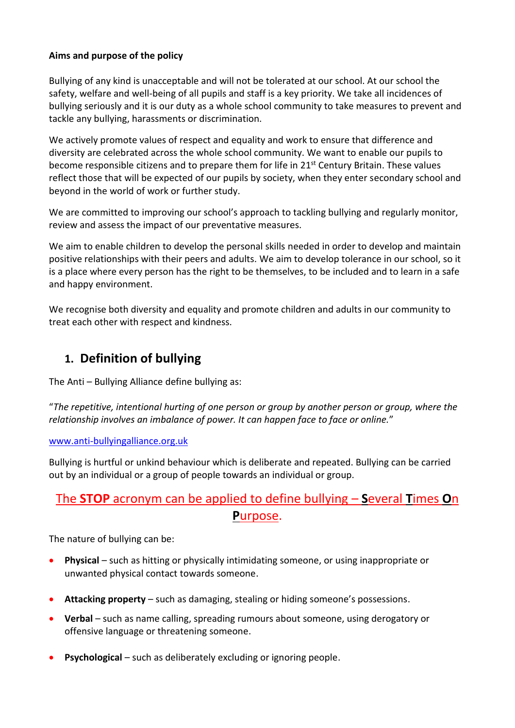### **Aims and purpose of the policy**

Bullying of any kind is unacceptable and will not be tolerated at our school. At our school the safety, welfare and well-being of all pupils and staff is a key priority. We take all incidences of bullying seriously and it is our duty as a whole school community to take measures to prevent and tackle any bullying, harassments or discrimination.

We actively promote values of respect and equality and work to ensure that difference and diversity are celebrated across the whole school community. We want to enable our pupils to become responsible citizens and to prepare them for life in 21<sup>st</sup> Century Britain. These values reflect those that will be expected of our pupils by society, when they enter secondary school and beyond in the world of work or further study.

We are committed to improving our school's approach to tackling bullying and regularly monitor, review and assess the impact of our preventative measures.

We aim to enable children to develop the personal skills needed in order to develop and maintain positive relationships with their peers and adults. We aim to develop tolerance in our school, so it is a place where every person has the right to be themselves, to be included and to learn in a safe and happy environment.

We recognise both diversity and equality and promote children and adults in our community to treat each other with respect and kindness.

## **1. Definition of bullying**

The Anti – Bullying Alliance define bullying as:

"*The repetitive, intentional hurting of one person or group by another person or group, where the relationship involves an imbalance of power. It can happen face to face or online.*"

#### [www.anti-bullyingalliance.org.uk](http://www.anti-bullyingalliance.org.uk/)

Bullying is hurtful or unkind behaviour which is deliberate and repeated. Bullying can be carried out by an individual or a group of people towards an individual or group.

# The **STOP** acronym can be applied to define bullying – **S**everal **T**imes **O**n **P**urpose.

The nature of bullying can be:

- **Physical** such as hitting or physically intimidating someone, or using inappropriate or unwanted physical contact towards someone.
- **Attacking property** such as damaging, stealing or hiding someone's possessions.
- **Verbal** such as name calling, spreading rumours about someone, using derogatory or offensive language or threatening someone.
- **Psychological** such as deliberately excluding or ignoring people.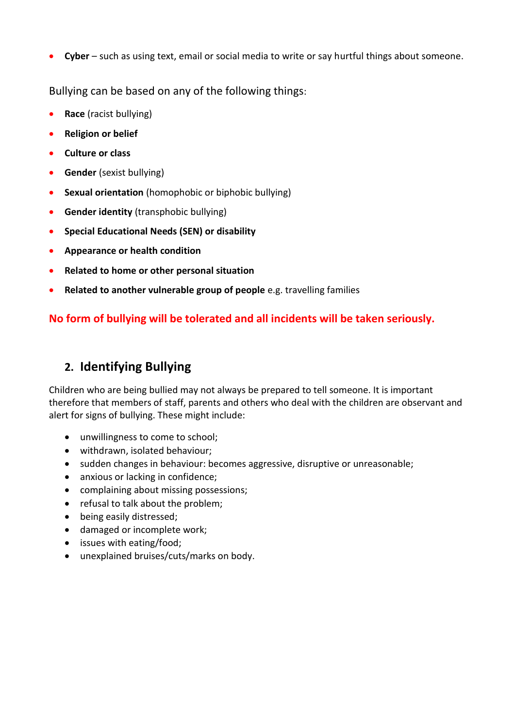**Cyber** – such as using text, email or social media to write or say hurtful things about someone.

Bullying can be based on any of the following things:

- **•** Race (racist bullying)
- **•** Religion or belief
- **Culture or class**
- **Gender** (sexist bullying)
- **Sexual orientation** (homophobic or biphobic bullying)
- **Gender identity** (transphobic bullying)
- **Special Educational Needs (SEN) or disability**
- **Appearance or health condition**
- **Related to home or other personal situation**
- **Related to another vulnerable group of people** e.g. travelling families

## **No form of bullying will be tolerated and all incidents will be taken seriously.**

# **2. Identifying Bullying**

Children who are being bullied may not always be prepared to tell someone. It is important therefore that members of staff, parents and others who deal with the children are observant and alert for signs of bullying. These might include:

- unwillingness to come to school;
- withdrawn, isolated behaviour;
- sudden changes in behaviour: becomes aggressive, disruptive or unreasonable;
- anxious or lacking in confidence;
- complaining about missing possessions;
- refusal to talk about the problem;
- being easily distressed;
- damaged or incomplete work;
- issues with eating/food;
- unexplained bruises/cuts/marks on body.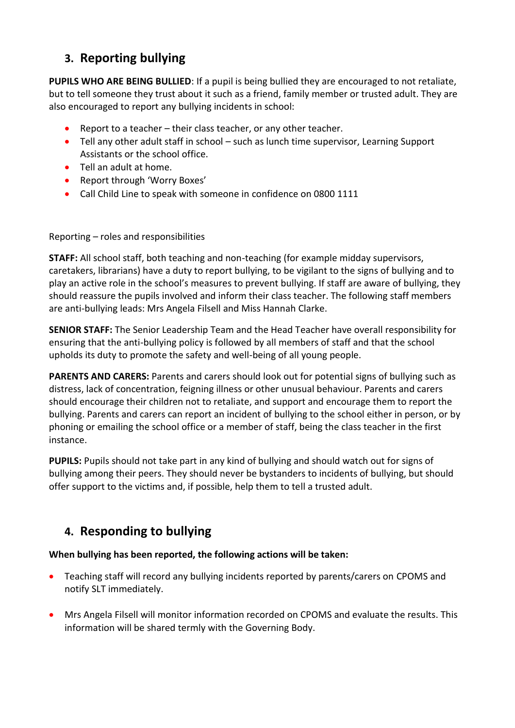# **3. Reporting bullying**

**PUPILS WHO ARE BEING BULLIED**: If a pupil is being bullied they are encouraged to not retaliate, but to tell someone they trust about it such as a friend, family member or trusted adult. They are also encouraged to report any bullying incidents in school:

- Report to a teacher their class teacher, or any other teacher.
- Tell any other adult staff in school such as lunch time supervisor, Learning Support Assistants or the school office.
- Tell an adult at home.
- Report through 'Worry Boxes'
- Call Child Line to speak with someone in confidence on 0800 1111

### Reporting – roles and responsibilities

**STAFF:** All school staff, both teaching and non-teaching (for example midday supervisors, caretakers, librarians) have a duty to report bullying, to be vigilant to the signs of bullying and to play an active role in the school's measures to prevent bullying. If staff are aware of bullying, they should reassure the pupils involved and inform their class teacher. The following staff members are anti-bullying leads: Mrs Angela Filsell and Miss Hannah Clarke.

**SENIOR STAFF:** The Senior Leadership Team and the Head Teacher have overall responsibility for ensuring that the anti-bullying policy is followed by all members of staff and that the school upholds its duty to promote the safety and well-being of all young people.

**PARENTS AND CARERS:** Parents and carers should look out for potential signs of bullying such as distress, lack of concentration, feigning illness or other unusual behaviour. Parents and carers should encourage their children not to retaliate, and support and encourage them to report the bullying. Parents and carers can report an incident of bullying to the school either in person, or by phoning or emailing the school office or a member of staff, being the class teacher in the first instance.

**PUPILS:** Pupils should not take part in any kind of bullying and should watch out for signs of bullying among their peers. They should never be bystanders to incidents of bullying, but should offer support to the victims and, if possible, help them to tell a trusted adult.

# **4. Responding to bullying**

## **When bullying has been reported, the following actions will be taken:**

- Teaching staff will record any bullying incidents reported by parents/carers on CPOMS and notify SLT immediately.
- Mrs Angela Filsell will monitor information recorded on CPOMS and evaluate the results. This information will be shared termly with the Governing Body.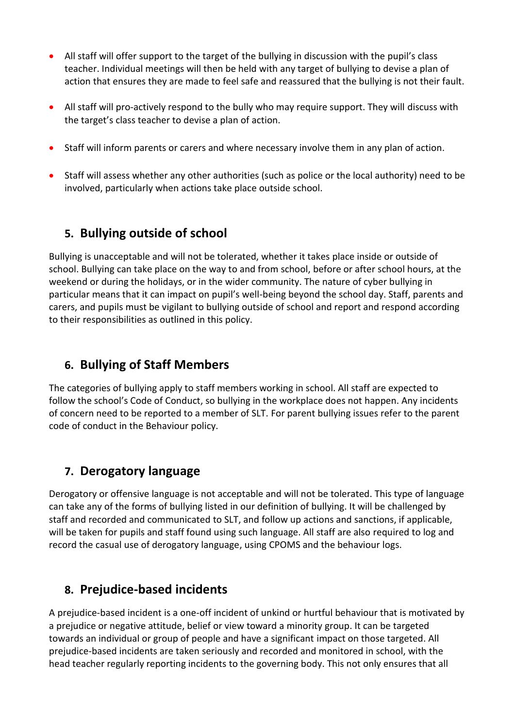- All staff will offer support to the target of the bullying in discussion with the pupil's class teacher. Individual meetings will then be held with any target of bullying to devise a plan of action that ensures they are made to feel safe and reassured that the bullying is not their fault.
- All staff will pro-actively respond to the bully who may require support. They will discuss with the target's class teacher to devise a plan of action.
- Staff will inform parents or carers and where necessary involve them in any plan of action.
- Staff will assess whether any other authorities (such as police or the local authority) need to be involved, particularly when actions take place outside school.

# **5. Bullying outside of school**

Bullying is unacceptable and will not be tolerated, whether it takes place inside or outside of school. Bullying can take place on the way to and from school, before or after school hours, at the weekend or during the holidays, or in the wider community. The nature of cyber bullying in particular means that it can impact on pupil's well-being beyond the school day. Staff, parents and carers, and pupils must be vigilant to bullying outside of school and report and respond according to their responsibilities as outlined in this policy.

## **6. Bullying of Staff Members**

The categories of bullying apply to staff members working in school. All staff are expected to follow the school's Code of Conduct, so bullying in the workplace does not happen. Any incidents of concern need to be reported to a member of SLT. For parent bullying issues refer to the parent code of conduct in the Behaviour policy.

# **7. Derogatory language**

Derogatory or offensive language is not acceptable and will not be tolerated. This type of language can take any of the forms of bullying listed in our definition of bullying. It will be challenged by staff and recorded and communicated to SLT, and follow up actions and sanctions, if applicable, will be taken for pupils and staff found using such language. All staff are also required to log and record the casual use of derogatory language, using CPOMS and the behaviour logs.

## **8. Prejudice-based incidents**

A prejudice-based incident is a one-off incident of unkind or hurtful behaviour that is motivated by a prejudice or negative attitude, belief or view toward a minority group. It can be targeted towards an individual or group of people and have a significant impact on those targeted. All prejudice-based incidents are taken seriously and recorded and monitored in school, with the head teacher regularly reporting incidents to the governing body. This not only ensures that all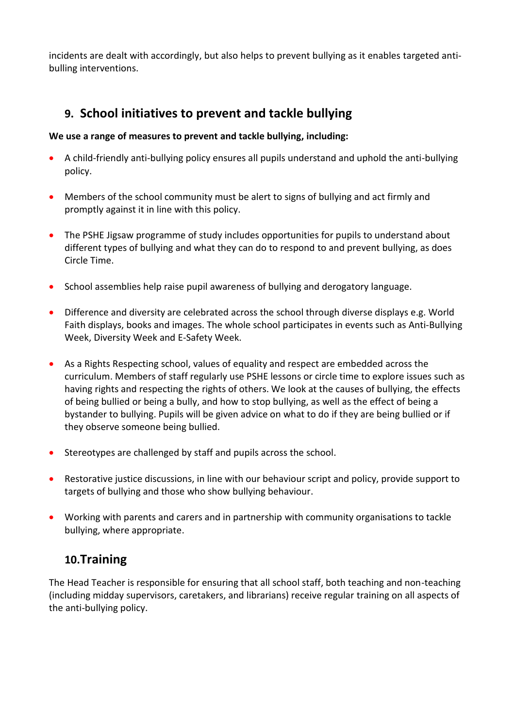incidents are dealt with accordingly, but also helps to prevent bullying as it enables targeted antibulling interventions.

# **9. School initiatives to prevent and tackle bullying**

### **We use a range of measures to prevent and tackle bullying, including:**

- A child-friendly anti-bullying policy ensures all pupils understand and uphold the anti-bullying policy.
- Members of the school community must be alert to signs of bullying and act firmly and promptly against it in line with this policy.
- The PSHE Jigsaw programme of study includes opportunities for pupils to understand about different types of bullying and what they can do to respond to and prevent bullying, as does Circle Time.
- School assemblies help raise pupil awareness of bullying and derogatory language.
- Difference and diversity are celebrated across the school through diverse displays e.g. World Faith displays, books and images. The whole school participates in events such as Anti-Bullying Week, Diversity Week and E-Safety Week.
- As a Rights Respecting school, values of equality and respect are embedded across the curriculum. Members of staff regularly use PSHE lessons or circle time to explore issues such as having rights and respecting the rights of others. We look at the causes of bullying, the effects of being bullied or being a bully, and how to stop bullying, as well as the effect of being a bystander to bullying. Pupils will be given advice on what to do if they are being bullied or if they observe someone being bullied.
- Stereotypes are challenged by staff and pupils across the school.
- Restorative justice discussions, in line with our behaviour script and policy, provide support to targets of bullying and those who show bullying behaviour.
- Working with parents and carers and in partnership with community organisations to tackle bullying, where appropriate.

## **10.Training**

The Head Teacher is responsible for ensuring that all school staff, both teaching and non-teaching (including midday supervisors, caretakers, and librarians) receive regular training on all aspects of the anti-bullying policy.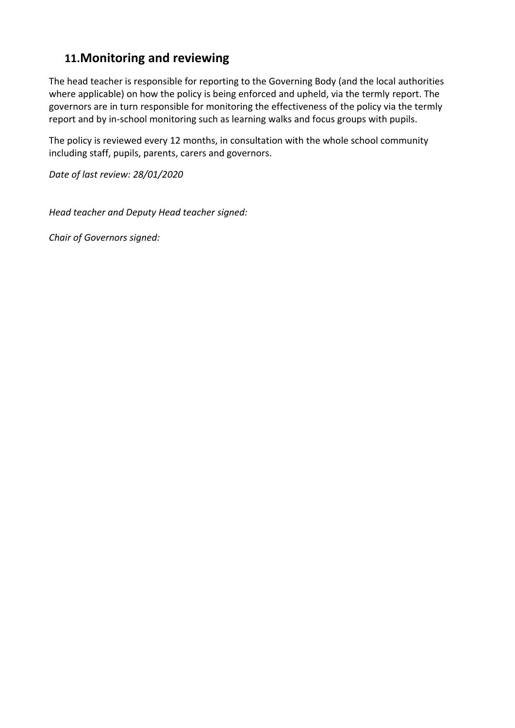# **11.Monitoring and reviewing**

The head teacher is responsible for reporting to the Governing Body (and the local authorities where applicable) on how the policy is being enforced and upheld, via the termly report. The governors are in turn responsible for monitoring the effectiveness of the policy via the termly report and by in-school monitoring such as learning walks and focus groups with pupils.

The policy is reviewed every 12 months, in consultation with the whole school community including staff, pupils, parents, carers and governors.

*Date of last review: 28/01/2020*

*Head teacher and Deputy Head teacher signed:*

*Chair of Governors signed:*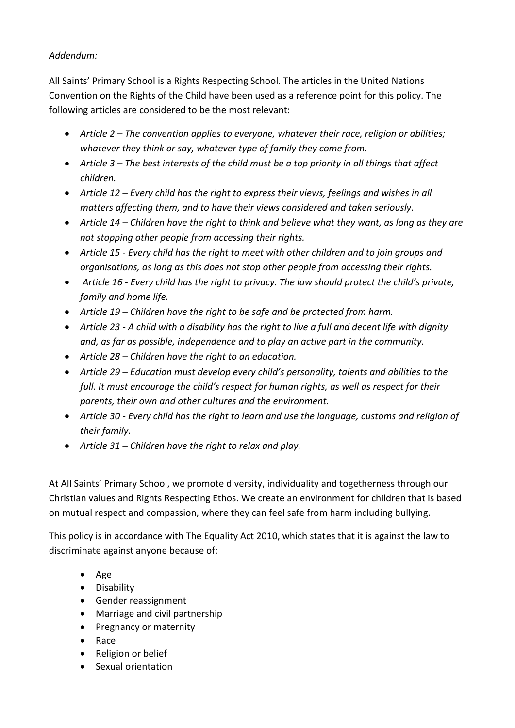## *Addendum:*

All Saints' Primary School is a Rights Respecting School. The articles in the United Nations Convention on the Rights of the Child have been used as a reference point for this policy. The following articles are considered to be the most relevant:

- *Article 2 – The convention applies to everyone, whatever their race, religion or abilities; whatever they think or say, whatever type of family they come from.*
- *Article 3 – The best interests of the child must be a top priority in all things that affect children.*
- *Article 12 – Every child has the right to express their views, feelings and wishes in all matters affecting them, and to have their views considered and taken seriously.*
- *Article 14 – Children have the right to think and believe what they want, as long as they are not stopping other people from accessing their rights.*
- *Article 15 - Every child has the right to meet with other children and to join groups and organisations, as long as this does not stop other people from accessing their rights.*
- *Article 16 - Every child has the right to privacy. The law should protect the child's private, family and home life.*
- *Article 19 – Children have the right to be safe and be protected from harm.*
- *Article 23 - A child with a disability has the right to live a full and decent life with dignity and, as far as possible, independence and to play an active part in the community.*
- *Article 28 – Children have the right to an education.*
- *Article 29 – Education must develop every child's personality, talents and abilities to the full. It must encourage the child's respect for human rights, as well as respect for their parents, their own and other cultures and the environment.*
- *Article 30 - Every child has the right to learn and use the language, customs and religion of their family.*
- *Article 31 – Children have the right to relax and play.*

At All Saints' Primary School, we promote diversity, individuality and togetherness through our Christian values and Rights Respecting Ethos. We create an environment for children that is based on mutual respect and compassion, where they can feel safe from harm including bullying.

This policy is in accordance with The Equality Act 2010, which states that it is against the law to discriminate against anyone because of:

- $\bullet$  Age
- **•** Disability
- Gender reassignment
- Marriage and civil partnership
- Pregnancy or maternity
- Race
- Religion or belief
- Sexual orientation